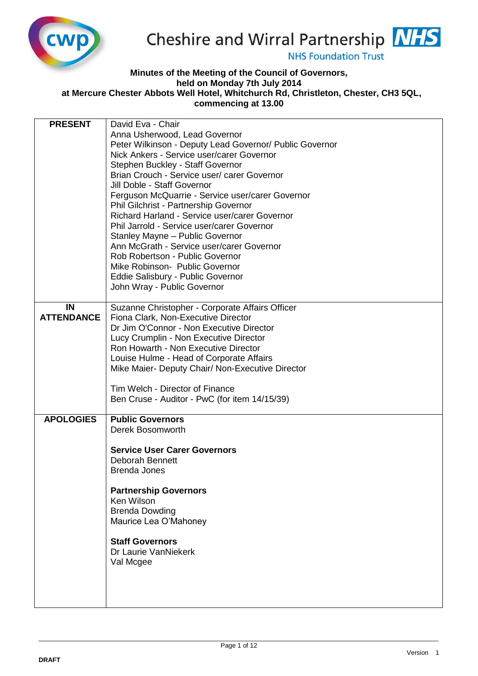

# Cheshire and Wirral Partnership NHS

**NHS Foundation Trust** 

# **Minutes of the Meeting of the Council of Governors, held on Monday 7th July 2014 at Mercure Chester Abbots Well Hotel, Whitchurch Rd, Christleton, Chester, CH3 5QL,**

**commencing at 13.00** 

| <b>PRESENT</b>    | David Eva - Chair                                       |
|-------------------|---------------------------------------------------------|
|                   | Anna Usherwood, Lead Governor                           |
|                   | Peter Wilkinson - Deputy Lead Governor/ Public Governor |
|                   | Nick Ankers - Service user/carer Governor               |
|                   | Stephen Buckley - Staff Governor                        |
|                   | Brian Crouch - Service user/ carer Governor             |
|                   | Jill Doble - Staff Governor                             |
|                   | Ferguson McQuarrie - Service user/carer Governor        |
|                   | Phil Gilchrist - Partnership Governor                   |
|                   | Richard Harland - Service user/carer Governor           |
|                   | Phil Jarrold - Service user/carer Governor              |
|                   | Stanley Mayne - Public Governor                         |
|                   | Ann McGrath - Service user/carer Governor               |
|                   | Rob Robertson - Public Governor                         |
|                   | Mike Robinson- Public Governor                          |
|                   | Eddie Salisbury - Public Governor                       |
|                   | John Wray - Public Governor                             |
|                   |                                                         |
| IN                | Suzanne Christopher - Corporate Affairs Officer         |
| <b>ATTENDANCE</b> | Fiona Clark, Non-Executive Director                     |
|                   | Dr Jim O'Connor - Non Executive Director                |
|                   | Lucy Crumplin - Non Executive Director                  |
|                   | Ron Howarth - Non Executive Director                    |
|                   | Louise Hulme - Head of Corporate Affairs                |
|                   | Mike Maier- Deputy Chair/ Non-Executive Director        |
|                   |                                                         |
|                   | Tim Welch - Director of Finance                         |
|                   | Ben Cruse - Auditor - PwC (for item 14/15/39)           |
|                   |                                                         |
| <b>APOLOGIES</b>  | <b>Public Governors</b>                                 |
|                   | Derek Bosomworth                                        |
|                   |                                                         |
|                   | <b>Service User Carer Governors</b>                     |
|                   | <b>Deborah Bennett</b>                                  |
|                   | <b>Brenda Jones</b>                                     |
|                   |                                                         |
|                   | <b>Partnership Governors</b>                            |
|                   | Ken Wilson                                              |
|                   | <b>Brenda Dowding</b>                                   |
|                   | Maurice Lea O'Mahoney                                   |
|                   |                                                         |
|                   | <b>Staff Governors</b>                                  |
|                   | Dr Laurie VanNiekerk                                    |
|                   | Val Mcgee                                               |
|                   |                                                         |
|                   |                                                         |
|                   |                                                         |
|                   |                                                         |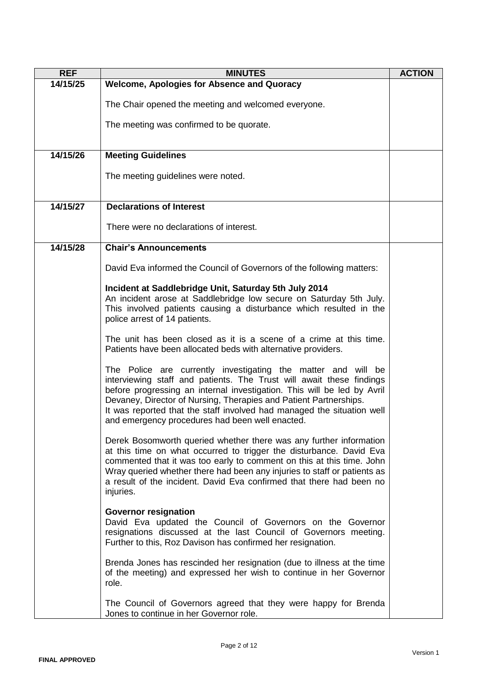| <b>REF</b> | <b>MINUTES</b>                                                                                                                                                                                                                                                                                                                                                                                                     | <b>ACTION</b> |
|------------|--------------------------------------------------------------------------------------------------------------------------------------------------------------------------------------------------------------------------------------------------------------------------------------------------------------------------------------------------------------------------------------------------------------------|---------------|
| 14/15/25   | <b>Welcome, Apologies for Absence and Quoracy</b>                                                                                                                                                                                                                                                                                                                                                                  |               |
|            | The Chair opened the meeting and welcomed everyone.                                                                                                                                                                                                                                                                                                                                                                |               |
|            | The meeting was confirmed to be quorate.                                                                                                                                                                                                                                                                                                                                                                           |               |
|            |                                                                                                                                                                                                                                                                                                                                                                                                                    |               |
| 14/15/26   | <b>Meeting Guidelines</b>                                                                                                                                                                                                                                                                                                                                                                                          |               |
|            | The meeting guidelines were noted.                                                                                                                                                                                                                                                                                                                                                                                 |               |
| 14/15/27   | <b>Declarations of Interest</b>                                                                                                                                                                                                                                                                                                                                                                                    |               |
|            | There were no declarations of interest.                                                                                                                                                                                                                                                                                                                                                                            |               |
| 14/15/28   | <b>Chair's Announcements</b>                                                                                                                                                                                                                                                                                                                                                                                       |               |
|            |                                                                                                                                                                                                                                                                                                                                                                                                                    |               |
|            | David Eva informed the Council of Governors of the following matters:                                                                                                                                                                                                                                                                                                                                              |               |
|            | Incident at Saddlebridge Unit, Saturday 5th July 2014                                                                                                                                                                                                                                                                                                                                                              |               |
|            | An incident arose at Saddlebridge low secure on Saturday 5th July.                                                                                                                                                                                                                                                                                                                                                 |               |
|            | This involved patients causing a disturbance which resulted in the<br>police arrest of 14 patients.                                                                                                                                                                                                                                                                                                                |               |
|            | The unit has been closed as it is a scene of a crime at this time.<br>Patients have been allocated beds with alternative providers.                                                                                                                                                                                                                                                                                |               |
|            | The Police are currently investigating the matter and will be<br>interviewing staff and patients. The Trust will await these findings<br>before progressing an internal investigation. This will be led by Avril<br>Devaney, Director of Nursing, Therapies and Patient Partnerships.<br>It was reported that the staff involved had managed the situation well<br>and emergency procedures had been well enacted. |               |
|            | Derek Bosomworth queried whether there was any further information<br>at this time on what occurred to trigger the disturbance. David Eva<br>commented that it was too early to comment on this at this time. John<br>Wray queried whether there had been any injuries to staff or patients as<br>a result of the incident. David Eva confirmed that there had been no<br>injuries.                                |               |
|            | <b>Governor resignation</b><br>David Eva updated the Council of Governors on the Governor<br>resignations discussed at the last Council of Governors meeting.<br>Further to this, Roz Davison has confirmed her resignation.                                                                                                                                                                                       |               |
|            | Brenda Jones has rescinded her resignation (due to illness at the time<br>of the meeting) and expressed her wish to continue in her Governor<br>role.                                                                                                                                                                                                                                                              |               |
|            | The Council of Governors agreed that they were happy for Brenda<br>Jones to continue in her Governor role.                                                                                                                                                                                                                                                                                                         |               |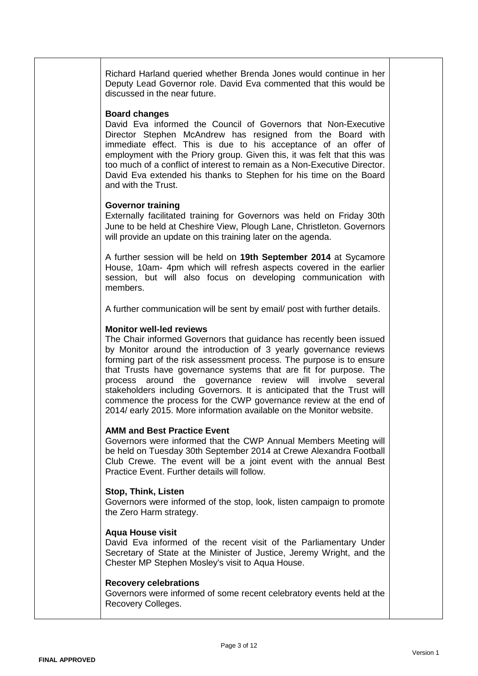Richard Harland queried whether Brenda Jones would continue in her Deputy Lead Governor role. David Eva commented that this would be discussed in the near future.

# **Board changes**

David Eva informed the Council of Governors that Non-Executive Director Stephen McAndrew has resigned from the Board with immediate effect. This is due to his acceptance of an offer of employment with the Priory group. Given this, it was felt that this was too much of a conflict of interest to remain as a Non-Executive Director. David Eva extended his thanks to Stephen for his time on the Board and with the Trust.

# **Governor training**

Externally facilitated training for Governors was held on Friday 30th June to be held at Cheshire View, Plough Lane, Christleton. Governors will provide an update on this training later on the agenda.

A further session will be held on **19th September 2014** at Sycamore House, 10am- 4pm which will refresh aspects covered in the earlier session, but will also focus on developing communication with members.

A further communication will be sent by email/ post with further details.

# **Monitor well-led reviews**

The Chair informed Governors that guidance has recently been issued by Monitor around the introduction of 3 yearly governance reviews forming part of the risk assessment process. The purpose is to ensure that Trusts have governance systems that are fit for purpose. The process around the governance review will involve several stakeholders including Governors. It is anticipated that the Trust will commence the process for the CWP governance review at the end of 2014/ early 2015. More information available on the Monitor website.

#### **AMM and Best Practice Event**

Governors were informed that the CWP Annual Members Meeting will be held on Tuesday 30th September 2014 at Crewe Alexandra Football Club Crewe. The event will be a joint event with the annual Best Practice Event. Further details will follow.

# **Stop, Think, Listen**

Governors were informed of the stop, look, listen campaign to promote the Zero Harm strategy.

#### **Aqua House visit**

David Eva informed of the recent visit of the Parliamentary Under Secretary of State at the Minister of Justice, Jeremy Wright, and the Chester MP Stephen Mosley's visit to Aqua House.

# **Recovery celebrations**

Governors were informed of some recent celebratory events held at the Recovery Colleges.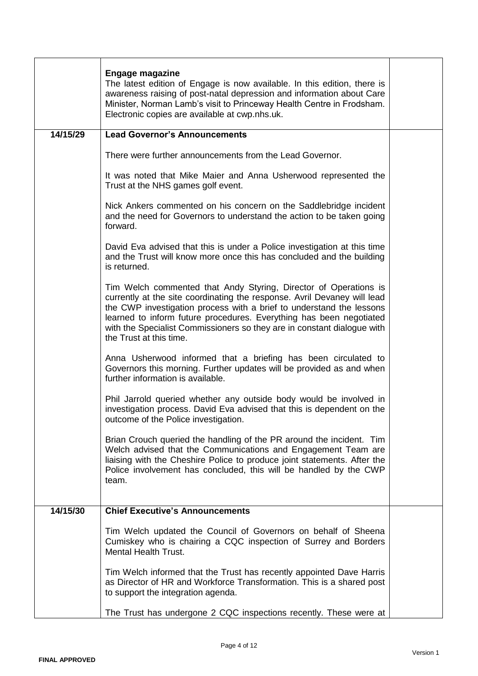|          | <b>Engage magazine</b><br>The latest edition of Engage is now available. In this edition, there is<br>awareness raising of post-natal depression and information about Care<br>Minister, Norman Lamb's visit to Princeway Health Centre in Frodsham.<br>Electronic copies are available at cwp.nhs.uk.                                                                                            |  |
|----------|---------------------------------------------------------------------------------------------------------------------------------------------------------------------------------------------------------------------------------------------------------------------------------------------------------------------------------------------------------------------------------------------------|--|
| 14/15/29 | <b>Lead Governor's Announcements</b>                                                                                                                                                                                                                                                                                                                                                              |  |
|          | There were further announcements from the Lead Governor.                                                                                                                                                                                                                                                                                                                                          |  |
|          | It was noted that Mike Maier and Anna Usherwood represented the<br>Trust at the NHS games golf event.                                                                                                                                                                                                                                                                                             |  |
|          | Nick Ankers commented on his concern on the Saddlebridge incident<br>and the need for Governors to understand the action to be taken going<br>forward.                                                                                                                                                                                                                                            |  |
|          | David Eva advised that this is under a Police investigation at this time<br>and the Trust will know more once this has concluded and the building<br>is returned.                                                                                                                                                                                                                                 |  |
|          | Tim Welch commented that Andy Styring, Director of Operations is<br>currently at the site coordinating the response. Avril Devaney will lead<br>the CWP investigation process with a brief to understand the lessons<br>learned to inform future procedures. Everything has been negotiated<br>with the Specialist Commissioners so they are in constant dialogue with<br>the Trust at this time. |  |
|          | Anna Usherwood informed that a briefing has been circulated to<br>Governors this morning. Further updates will be provided as and when<br>further information is available.                                                                                                                                                                                                                       |  |
|          | Phil Jarrold queried whether any outside body would be involved in<br>investigation process. David Eva advised that this is dependent on the<br>outcome of the Police investigation.                                                                                                                                                                                                              |  |
|          | Brian Crouch queried the handling of the PR around the incident. Tim<br>Welch advised that the Communications and Engagement Team are<br>liaising with the Cheshire Police to produce joint statements. After the<br>Police involvement has concluded, this will be handled by the CWP<br>team.                                                                                                   |  |
| 14/15/30 | <b>Chief Executive's Announcements</b>                                                                                                                                                                                                                                                                                                                                                            |  |
|          | Tim Welch updated the Council of Governors on behalf of Sheena<br>Cumiskey who is chairing a CQC inspection of Surrey and Borders<br><b>Mental Health Trust.</b>                                                                                                                                                                                                                                  |  |
|          | Tim Welch informed that the Trust has recently appointed Dave Harris<br>as Director of HR and Workforce Transformation. This is a shared post<br>to support the integration agenda.                                                                                                                                                                                                               |  |
|          | The Trust has undergone 2 CQC inspections recently. These were at                                                                                                                                                                                                                                                                                                                                 |  |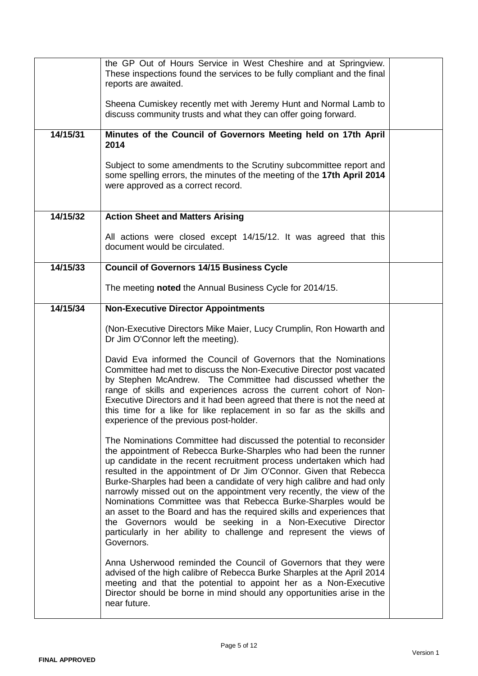|          | the GP Out of Hours Service in West Cheshire and at Springview.<br>These inspections found the services to be fully compliant and the final<br>reports are awaited.                                                                                                                                                                                                                                                                                                                                                                                                                                                                                                                                                                    |  |
|----------|----------------------------------------------------------------------------------------------------------------------------------------------------------------------------------------------------------------------------------------------------------------------------------------------------------------------------------------------------------------------------------------------------------------------------------------------------------------------------------------------------------------------------------------------------------------------------------------------------------------------------------------------------------------------------------------------------------------------------------------|--|
|          | Sheena Cumiskey recently met with Jeremy Hunt and Normal Lamb to<br>discuss community trusts and what they can offer going forward.                                                                                                                                                                                                                                                                                                                                                                                                                                                                                                                                                                                                    |  |
| 14/15/31 | Minutes of the Council of Governors Meeting held on 17th April<br>2014                                                                                                                                                                                                                                                                                                                                                                                                                                                                                                                                                                                                                                                                 |  |
|          | Subject to some amendments to the Scrutiny subcommittee report and<br>some spelling errors, the minutes of the meeting of the 17th April 2014<br>were approved as a correct record.                                                                                                                                                                                                                                                                                                                                                                                                                                                                                                                                                    |  |
| 14/15/32 | <b>Action Sheet and Matters Arising</b>                                                                                                                                                                                                                                                                                                                                                                                                                                                                                                                                                                                                                                                                                                |  |
|          | All actions were closed except 14/15/12. It was agreed that this<br>document would be circulated.                                                                                                                                                                                                                                                                                                                                                                                                                                                                                                                                                                                                                                      |  |
| 14/15/33 | <b>Council of Governors 14/15 Business Cycle</b>                                                                                                                                                                                                                                                                                                                                                                                                                                                                                                                                                                                                                                                                                       |  |
|          | The meeting noted the Annual Business Cycle for 2014/15.                                                                                                                                                                                                                                                                                                                                                                                                                                                                                                                                                                                                                                                                               |  |
| 14/15/34 | <b>Non-Executive Director Appointments</b>                                                                                                                                                                                                                                                                                                                                                                                                                                                                                                                                                                                                                                                                                             |  |
|          | (Non-Executive Directors Mike Maier, Lucy Crumplin, Ron Howarth and<br>Dr Jim O'Connor left the meeting).                                                                                                                                                                                                                                                                                                                                                                                                                                                                                                                                                                                                                              |  |
|          | David Eva informed the Council of Governors that the Nominations<br>Committee had met to discuss the Non-Executive Director post vacated<br>by Stephen McAndrew. The Committee had discussed whether the<br>range of skills and experiences across the current cohort of Non-<br>Executive Directors and it had been agreed that there is not the need at<br>this time for a like for like replacement in so far as the skills and<br>experience of the previous post-holder.                                                                                                                                                                                                                                                          |  |
|          | The Nominations Committee had discussed the potential to reconsider<br>the appointment of Rebecca Burke-Sharples who had been the runner<br>up candidate in the recent recruitment process undertaken which had<br>resulted in the appointment of Dr Jim O'Connor. Given that Rebecca<br>Burke-Sharples had been a candidate of very high calibre and had only<br>narrowly missed out on the appointment very recently, the view of the<br>Nominations Committee was that Rebecca Burke-Sharples would be<br>an asset to the Board and has the required skills and experiences that<br>the Governors would be seeking in a Non-Executive Director<br>particularly in her ability to challenge and represent the views of<br>Governors. |  |
|          | Anna Usherwood reminded the Council of Governors that they were<br>advised of the high calibre of Rebecca Burke Sharples at the April 2014<br>meeting and that the potential to appoint her as a Non-Executive<br>Director should be borne in mind should any opportunities arise in the<br>near future.                                                                                                                                                                                                                                                                                                                                                                                                                               |  |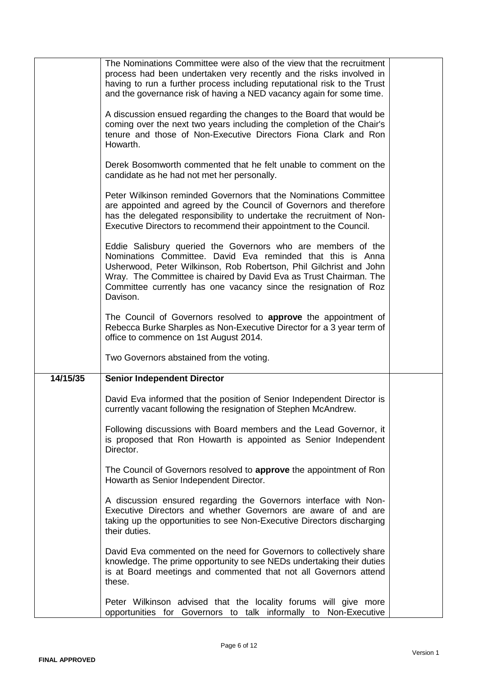|          | The Nominations Committee were also of the view that the recruitment<br>process had been undertaken very recently and the risks involved in<br>having to run a further process including reputational risk to the Trust<br>and the governance risk of having a NED vacancy again for some time.<br>A discussion ensued regarding the changes to the Board that would be<br>coming over the next two years including the completion of the Chair's<br>tenure and those of Non-Executive Directors Fiona Clark and Ron<br>Howarth.<br>Derek Bosomworth commented that he felt unable to comment on the<br>candidate as he had not met her personally.<br>Peter Wilkinson reminded Governors that the Nominations Committee<br>are appointed and agreed by the Council of Governors and therefore<br>has the delegated responsibility to undertake the recruitment of Non-<br>Executive Directors to recommend their appointment to the Council.<br>Eddie Salisbury queried the Governors who are members of the<br>Nominations Committee. David Eva reminded that this is Anna<br>Usherwood, Peter Wilkinson, Rob Robertson, Phil Gilchrist and John<br>Wray. The Committee is chaired by David Eva as Trust Chairman. The<br>Committee currently has one vacancy since the resignation of Roz<br>Davison. |  |
|----------|----------------------------------------------------------------------------------------------------------------------------------------------------------------------------------------------------------------------------------------------------------------------------------------------------------------------------------------------------------------------------------------------------------------------------------------------------------------------------------------------------------------------------------------------------------------------------------------------------------------------------------------------------------------------------------------------------------------------------------------------------------------------------------------------------------------------------------------------------------------------------------------------------------------------------------------------------------------------------------------------------------------------------------------------------------------------------------------------------------------------------------------------------------------------------------------------------------------------------------------------------------------------------------------------------------|--|
|          | The Council of Governors resolved to <b>approve</b> the appointment of<br>Rebecca Burke Sharples as Non-Executive Director for a 3 year term of<br>office to commence on 1st August 2014.                                                                                                                                                                                                                                                                                                                                                                                                                                                                                                                                                                                                                                                                                                                                                                                                                                                                                                                                                                                                                                                                                                                |  |
|          | Two Governors abstained from the voting.                                                                                                                                                                                                                                                                                                                                                                                                                                                                                                                                                                                                                                                                                                                                                                                                                                                                                                                                                                                                                                                                                                                                                                                                                                                                 |  |
| 14/15/35 | <b>Senior Independent Director</b>                                                                                                                                                                                                                                                                                                                                                                                                                                                                                                                                                                                                                                                                                                                                                                                                                                                                                                                                                                                                                                                                                                                                                                                                                                                                       |  |
|          | David Eva informed that the position of Senior Independent Director is<br>currently vacant following the resignation of Stephen McAndrew.                                                                                                                                                                                                                                                                                                                                                                                                                                                                                                                                                                                                                                                                                                                                                                                                                                                                                                                                                                                                                                                                                                                                                                |  |
|          | Following discussions with Board members and the Lead Governor, it<br>is proposed that Ron Howarth is appointed as Senior Independent<br>Director.                                                                                                                                                                                                                                                                                                                                                                                                                                                                                                                                                                                                                                                                                                                                                                                                                                                                                                                                                                                                                                                                                                                                                       |  |
|          | The Council of Governors resolved to approve the appointment of Ron<br>Howarth as Senior Independent Director.                                                                                                                                                                                                                                                                                                                                                                                                                                                                                                                                                                                                                                                                                                                                                                                                                                                                                                                                                                                                                                                                                                                                                                                           |  |
|          | A discussion ensured regarding the Governors interface with Non-<br>Executive Directors and whether Governors are aware of and are<br>taking up the opportunities to see Non-Executive Directors discharging<br>their duties.                                                                                                                                                                                                                                                                                                                                                                                                                                                                                                                                                                                                                                                                                                                                                                                                                                                                                                                                                                                                                                                                            |  |
|          | David Eva commented on the need for Governors to collectively share<br>knowledge. The prime opportunity to see NEDs undertaking their duties<br>is at Board meetings and commented that not all Governors attend<br>these.                                                                                                                                                                                                                                                                                                                                                                                                                                                                                                                                                                                                                                                                                                                                                                                                                                                                                                                                                                                                                                                                               |  |
|          | Peter Wilkinson advised that the locality forums will give more<br>opportunities for Governors to talk informally to Non-Executive                                                                                                                                                                                                                                                                                                                                                                                                                                                                                                                                                                                                                                                                                                                                                                                                                                                                                                                                                                                                                                                                                                                                                                       |  |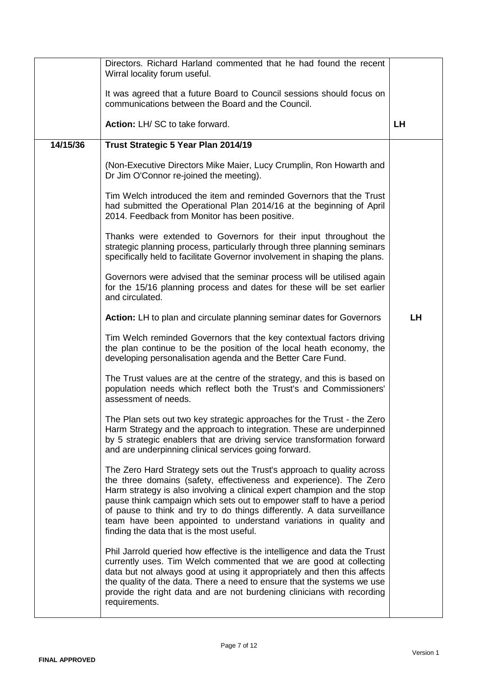|          | Directors. Richard Harland commented that he had found the recent<br>Wirral locality forum useful.                                                                                                                                                                                                                                                                                                                                                                                           |           |
|----------|----------------------------------------------------------------------------------------------------------------------------------------------------------------------------------------------------------------------------------------------------------------------------------------------------------------------------------------------------------------------------------------------------------------------------------------------------------------------------------------------|-----------|
|          | It was agreed that a future Board to Council sessions should focus on<br>communications between the Board and the Council.                                                                                                                                                                                                                                                                                                                                                                   |           |
|          | Action: LH/ SC to take forward.                                                                                                                                                                                                                                                                                                                                                                                                                                                              | <b>LH</b> |
| 14/15/36 | Trust Strategic 5 Year Plan 2014/19                                                                                                                                                                                                                                                                                                                                                                                                                                                          |           |
|          | (Non-Executive Directors Mike Maier, Lucy Crumplin, Ron Howarth and<br>Dr Jim O'Connor re-joined the meeting).                                                                                                                                                                                                                                                                                                                                                                               |           |
|          | Tim Welch introduced the item and reminded Governors that the Trust<br>had submitted the Operational Plan 2014/16 at the beginning of April<br>2014. Feedback from Monitor has been positive.                                                                                                                                                                                                                                                                                                |           |
|          | Thanks were extended to Governors for their input throughout the<br>strategic planning process, particularly through three planning seminars<br>specifically held to facilitate Governor involvement in shaping the plans.                                                                                                                                                                                                                                                                   |           |
|          | Governors were advised that the seminar process will be utilised again<br>for the 15/16 planning process and dates for these will be set earlier<br>and circulated.                                                                                                                                                                                                                                                                                                                          |           |
|          | <b>Action:</b> LH to plan and circulate planning seminar dates for Governors                                                                                                                                                                                                                                                                                                                                                                                                                 | LH        |
|          | Tim Welch reminded Governors that the key contextual factors driving<br>the plan continue to be the position of the local heath economy, the<br>developing personalisation agenda and the Better Care Fund.                                                                                                                                                                                                                                                                                  |           |
|          | The Trust values are at the centre of the strategy, and this is based on<br>population needs which reflect both the Trust's and Commissioners'<br>assessment of needs.                                                                                                                                                                                                                                                                                                                       |           |
|          | The Plan sets out two key strategic approaches for the Trust - the Zero<br>Harm Strategy and the approach to integration. These are underpinned<br>by 5 strategic enablers that are driving service transformation forward<br>and are underpinning clinical services going forward.                                                                                                                                                                                                          |           |
|          | The Zero Hard Strategy sets out the Trust's approach to quality across<br>the three domains (safety, effectiveness and experience). The Zero<br>Harm strategy is also involving a clinical expert champion and the stop<br>pause think campaign which sets out to empower staff to have a period<br>of pause to think and try to do things differently. A data surveillance<br>team have been appointed to understand variations in quality and<br>finding the data that is the most useful. |           |
|          | Phil Jarrold queried how effective is the intelligence and data the Trust<br>currently uses. Tim Welch commented that we are good at collecting<br>data but not always good at using it appropriately and then this affects<br>the quality of the data. There a need to ensure that the systems we use<br>provide the right data and are not burdening clinicians with recording<br>requirements.                                                                                            |           |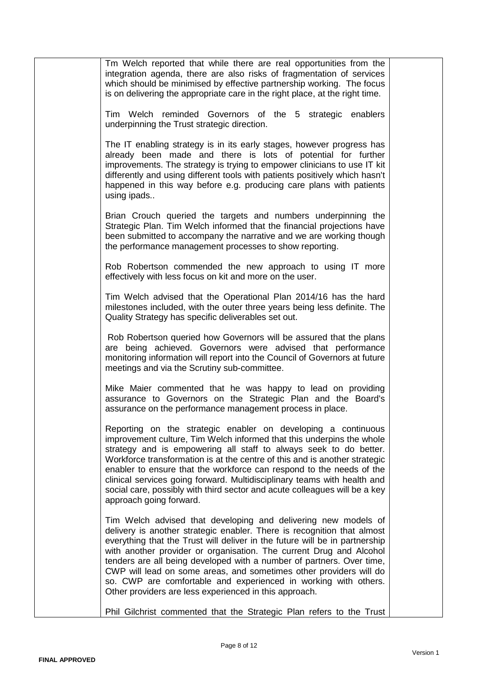| Tm Welch reported that while there are real opportunities from the<br>integration agenda, there are also risks of fragmentation of services<br>which should be minimised by effective partnership working. The focus<br>is on delivering the appropriate care in the right place, at the right time.                                                                                                                                                                                                                                                                        |  |
|-----------------------------------------------------------------------------------------------------------------------------------------------------------------------------------------------------------------------------------------------------------------------------------------------------------------------------------------------------------------------------------------------------------------------------------------------------------------------------------------------------------------------------------------------------------------------------|--|
| Tim Welch reminded Governors of the 5 strategic enablers<br>underpinning the Trust strategic direction.                                                                                                                                                                                                                                                                                                                                                                                                                                                                     |  |
| The IT enabling strategy is in its early stages, however progress has<br>already been made and there is lots of potential for further<br>improvements. The strategy is trying to empower clinicians to use IT kit<br>differently and using different tools with patients positively which hasn't<br>happened in this way before e.g. producing care plans with patients<br>using ipads                                                                                                                                                                                      |  |
| Brian Crouch queried the targets and numbers underpinning the<br>Strategic Plan. Tim Welch informed that the financial projections have<br>been submitted to accompany the narrative and we are working though<br>the performance management processes to show reporting.                                                                                                                                                                                                                                                                                                   |  |
| Rob Robertson commended the new approach to using IT more<br>effectively with less focus on kit and more on the user.                                                                                                                                                                                                                                                                                                                                                                                                                                                       |  |
| Tim Welch advised that the Operational Plan 2014/16 has the hard<br>milestones included, with the outer three years being less definite. The<br>Quality Strategy has specific deliverables set out.                                                                                                                                                                                                                                                                                                                                                                         |  |
| Rob Robertson queried how Governors will be assured that the plans<br>are being achieved. Governors were advised that performance<br>monitoring information will report into the Council of Governors at future<br>meetings and via the Scrutiny sub-committee.                                                                                                                                                                                                                                                                                                             |  |
| Mike Maier commented that he was happy to lead on providing<br>assurance to Governors on the Strategic Plan and the Board's<br>assurance on the performance management process in place.                                                                                                                                                                                                                                                                                                                                                                                    |  |
| Reporting on the strategic enabler on developing a continuous<br>improvement culture, Tim Welch informed that this underpins the whole<br>strategy and is empowering all staff to always seek to do better.<br>Workforce transformation is at the centre of this and is another strategic<br>enabler to ensure that the workforce can respond to the needs of the<br>clinical services going forward. Multidisciplinary teams with health and<br>social care, possibly with third sector and acute colleagues will be a key<br>approach going forward.                      |  |
| Tim Welch advised that developing and delivering new models of<br>delivery is another strategic enabler. There is recognition that almost<br>everything that the Trust will deliver in the future will be in partnership<br>with another provider or organisation. The current Drug and Alcohol<br>tenders are all being developed with a number of partners. Over time,<br>CWP will lead on some areas, and sometimes other providers will do<br>so. CWP are comfortable and experienced in working with others.<br>Other providers are less experienced in this approach. |  |
| Phil Gilchrist commented that the Strategic Plan refers to the Trust                                                                                                                                                                                                                                                                                                                                                                                                                                                                                                        |  |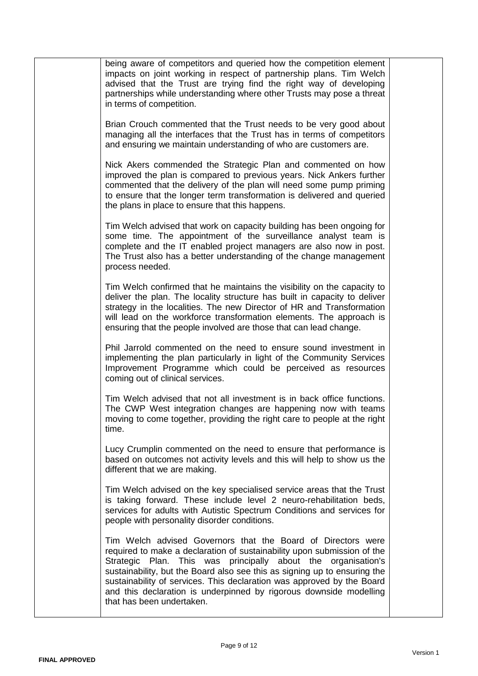| being aware of competitors and queried how the competition element<br>impacts on joint working in respect of partnership plans. Tim Welch<br>advised that the Trust are trying find the right way of developing<br>partnerships while understanding where other Trusts may pose a threat<br>in terms of competition.                                                                                                                                               |  |
|--------------------------------------------------------------------------------------------------------------------------------------------------------------------------------------------------------------------------------------------------------------------------------------------------------------------------------------------------------------------------------------------------------------------------------------------------------------------|--|
| Brian Crouch commented that the Trust needs to be very good about<br>managing all the interfaces that the Trust has in terms of competitors<br>and ensuring we maintain understanding of who are customers are.                                                                                                                                                                                                                                                    |  |
| Nick Akers commended the Strategic Plan and commented on how<br>improved the plan is compared to previous years. Nick Ankers further<br>commented that the delivery of the plan will need some pump priming<br>to ensure that the longer term transformation is delivered and queried<br>the plans in place to ensure that this happens.                                                                                                                           |  |
| Tim Welch advised that work on capacity building has been ongoing for<br>some time. The appointment of the surveillance analyst team is<br>complete and the IT enabled project managers are also now in post.<br>The Trust also has a better understanding of the change management<br>process needed.                                                                                                                                                             |  |
| Tim Welch confirmed that he maintains the visibility on the capacity to<br>deliver the plan. The locality structure has built in capacity to deliver<br>strategy in the localities. The new Director of HR and Transformation<br>will lead on the workforce transformation elements. The approach is<br>ensuring that the people involved are those that can lead change.                                                                                          |  |
| Phil Jarrold commented on the need to ensure sound investment in<br>implementing the plan particularly in light of the Community Services<br>Improvement Programme which could be perceived as resources<br>coming out of clinical services.                                                                                                                                                                                                                       |  |
| Tim Welch advised that not all investment is in back office functions.<br>The CWP West integration changes are happening now with teams<br>moving to come together, providing the right care to people at the right<br>time.                                                                                                                                                                                                                                       |  |
| Lucy Crumplin commented on the need to ensure that performance is<br>based on outcomes not activity levels and this will help to show us the<br>different that we are making.                                                                                                                                                                                                                                                                                      |  |
| Tim Welch advised on the key specialised service areas that the Trust<br>is taking forward. These include level 2 neuro-rehabilitation beds,<br>services for adults with Autistic Spectrum Conditions and services for<br>people with personality disorder conditions.                                                                                                                                                                                             |  |
| Tim Welch advised Governors that the Board of Directors were<br>required to make a declaration of sustainability upon submission of the<br>Strategic Plan. This was principally about the organisation's<br>sustainability, but the Board also see this as signing up to ensuring the<br>sustainability of services. This declaration was approved by the Board<br>and this declaration is underpinned by rigorous downside modelling<br>that has been undertaken. |  |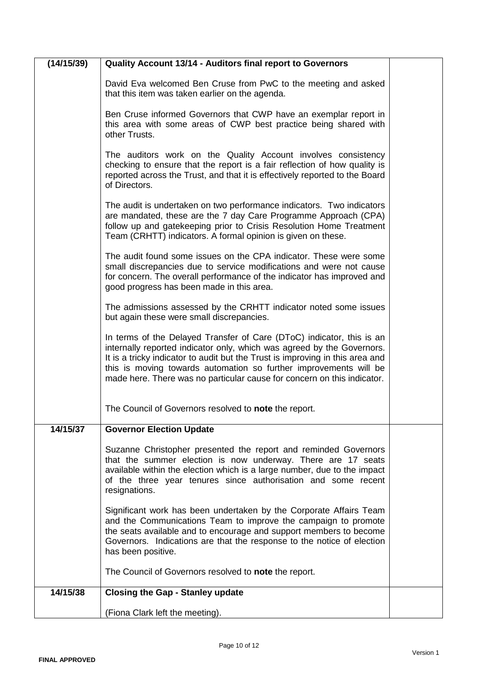| (14/15/39) | Quality Account 13/14 - Auditors final report to Governors                                                                                                                                                                                                                                                                                                                       |  |
|------------|----------------------------------------------------------------------------------------------------------------------------------------------------------------------------------------------------------------------------------------------------------------------------------------------------------------------------------------------------------------------------------|--|
|            | David Eva welcomed Ben Cruse from PwC to the meeting and asked<br>that this item was taken earlier on the agenda.                                                                                                                                                                                                                                                                |  |
|            | Ben Cruse informed Governors that CWP have an exemplar report in<br>this area with some areas of CWP best practice being shared with<br>other Trusts.                                                                                                                                                                                                                            |  |
|            | The auditors work on the Quality Account involves consistency<br>checking to ensure that the report is a fair reflection of how quality is<br>reported across the Trust, and that it is effectively reported to the Board<br>of Directors.                                                                                                                                       |  |
|            | The audit is undertaken on two performance indicators. Two indicators<br>are mandated, these are the 7 day Care Programme Approach (CPA)<br>follow up and gatekeeping prior to Crisis Resolution Home Treatment<br>Team (CRHTT) indicators. A formal opinion is given on these.                                                                                                  |  |
|            | The audit found some issues on the CPA indicator. These were some<br>small discrepancies due to service modifications and were not cause<br>for concern. The overall performance of the indicator has improved and<br>good progress has been made in this area.                                                                                                                  |  |
|            | The admissions assessed by the CRHTT indicator noted some issues<br>but again these were small discrepancies.                                                                                                                                                                                                                                                                    |  |
|            | In terms of the Delayed Transfer of Care (DToC) indicator, this is an<br>internally reported indicator only, which was agreed by the Governors.<br>It is a tricky indicator to audit but the Trust is improving in this area and<br>this is moving towards automation so further improvements will be<br>made here. There was no particular cause for concern on this indicator. |  |
|            | The Council of Governors resolved to note the report.                                                                                                                                                                                                                                                                                                                            |  |
| 14/15/37   | <b>Governor Election Update</b>                                                                                                                                                                                                                                                                                                                                                  |  |
|            | Suzanne Christopher presented the report and reminded Governors<br>that the summer election is now underway. There are 17 seats<br>available within the election which is a large number, due to the impact<br>of the three year tenures since authorisation and some recent<br>resignations.                                                                                    |  |
|            | Significant work has been undertaken by the Corporate Affairs Team<br>and the Communications Team to improve the campaign to promote<br>the seats available and to encourage and support members to become<br>Governors. Indications are that the response to the notice of election<br>has been positive.                                                                       |  |
|            | The Council of Governors resolved to note the report.                                                                                                                                                                                                                                                                                                                            |  |
| 14/15/38   | <b>Closing the Gap - Stanley update</b>                                                                                                                                                                                                                                                                                                                                          |  |
|            | (Fiona Clark left the meeting).                                                                                                                                                                                                                                                                                                                                                  |  |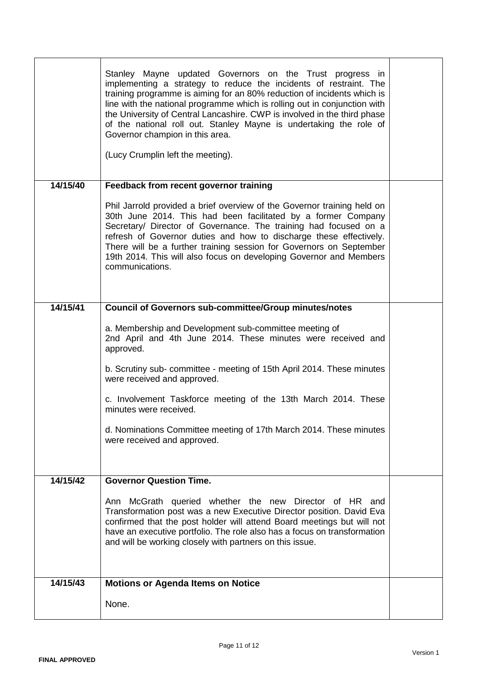|          | Stanley Mayne updated Governors on the Trust progress in<br>implementing a strategy to reduce the incidents of restraint. The<br>training programme is aiming for an 80% reduction of incidents which is<br>line with the national programme which is rolling out in conjunction with<br>the University of Central Lancashire. CWP is involved in the third phase<br>of the national roll out. Stanley Mayne is undertaking the role of<br>Governor champion in this area.<br>(Lucy Crumplin left the meeting). |  |
|----------|-----------------------------------------------------------------------------------------------------------------------------------------------------------------------------------------------------------------------------------------------------------------------------------------------------------------------------------------------------------------------------------------------------------------------------------------------------------------------------------------------------------------|--|
| 14/15/40 | Feedback from recent governor training                                                                                                                                                                                                                                                                                                                                                                                                                                                                          |  |
|          | Phil Jarrold provided a brief overview of the Governor training held on<br>30th June 2014. This had been facilitated by a former Company<br>Secretary/ Director of Governance. The training had focused on a<br>refresh of Governor duties and how to discharge these effectively.<br>There will be a further training session for Governors on September<br>19th 2014. This will also focus on developing Governor and Members<br>communications.                                                              |  |
| 14/15/41 | <b>Council of Governors sub-committee/Group minutes/notes</b>                                                                                                                                                                                                                                                                                                                                                                                                                                                   |  |
|          | a. Membership and Development sub-committee meeting of<br>2nd April and 4th June 2014. These minutes were received and<br>approved.<br>b. Scrutiny sub- committee - meeting of 15th April 2014. These minutes<br>were received and approved.<br>c. Involvement Taskforce meeting of the 13th March 2014. These<br>minutes were received.                                                                                                                                                                        |  |
|          | d. Nominations Committee meeting of 17th March 2014. These minutes<br>were received and approved.                                                                                                                                                                                                                                                                                                                                                                                                               |  |
|          |                                                                                                                                                                                                                                                                                                                                                                                                                                                                                                                 |  |
| 14/15/42 | <b>Governor Question Time.</b>                                                                                                                                                                                                                                                                                                                                                                                                                                                                                  |  |
|          | Ann McGrath queried whether the new Director of HR and<br>Transformation post was a new Executive Director position. David Eva<br>confirmed that the post holder will attend Board meetings but will not<br>have an executive portfolio. The role also has a focus on transformation<br>and will be working closely with partners on this issue.                                                                                                                                                                |  |
| 14/15/43 | <b>Motions or Agenda Items on Notice</b>                                                                                                                                                                                                                                                                                                                                                                                                                                                                        |  |
|          | None.                                                                                                                                                                                                                                                                                                                                                                                                                                                                                                           |  |
|          |                                                                                                                                                                                                                                                                                                                                                                                                                                                                                                                 |  |